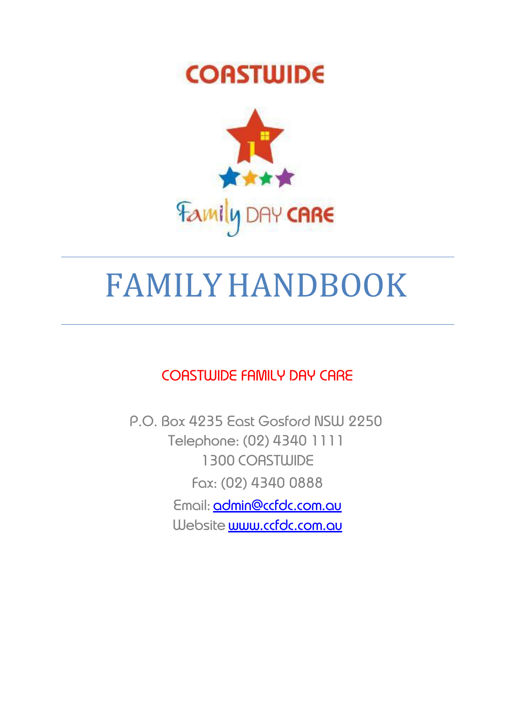## **COASTWIDE**



# FAMILYHANDBOOK

COASTWIDE FAMILY DAY CARE

P.O. Box 4235 East Gosford NSW 2250 Telephone: (02) 4340 1111 1300 COASTWIDE Fax: (02) 4340 0888 Email: [admin@ccfdc.com.au](mailto:admin@ccfdc.com.au) Website **[www.ccfdc.com.au](http://www.ccfdc.com.au/)**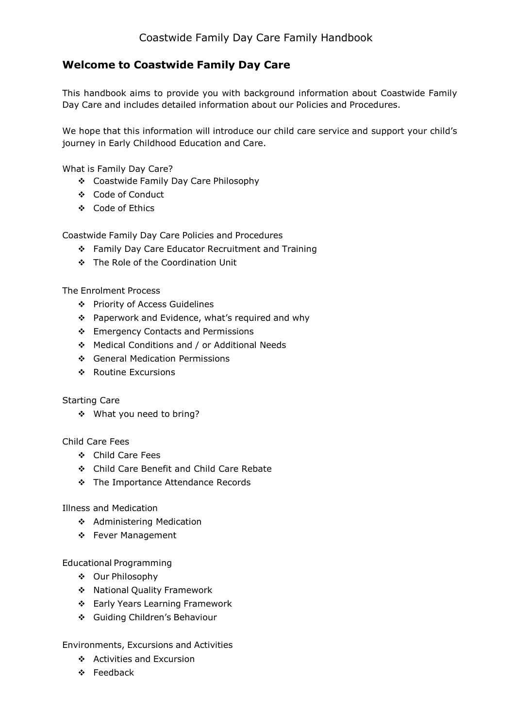#### **Welcome to Coastwide Family Day Care**

This handbook aims to provide you with background information about Coastwide Family Day Care and includes detailed information about our Policies and Procedures.

We hope that this information will introduce our child care service and support your child's journey in Early Childhood Education and Care.

What is Family Day Care?

- Coastwide Family Day Care Philosophy
- Code of Conduct
- Code of Ethics

Coastwide Family Day Care Policies and Procedures

- \* Family Day Care Educator Recruitment and Training
- The Role of the Coordination Unit

The Enrolment Process

- Priority of Access Guidelines
- ❖ Paperwork and Evidence, what's required and why
- ❖ Emergency Contacts and Permissions
- Medical Conditions and / or Additional Needs
- General Medication Permissions
- ❖ Routine Excursions

#### Starting Care

What you need to bring?

Child Care Fees

- Child Care Fees
- Child Care Benefit and Child Care Rebate
- The Importance Attendance Records

Illness and Medication

- Administering Medication
- ❖ Fever Management

Educational Programming

- Our Philosophy
- ◆ National Quality Framework
- Early Years Learning Framework
- Guiding Children's Behaviour

Environments, Excursions and Activities

- ❖ Activities and Excursion
- Feedback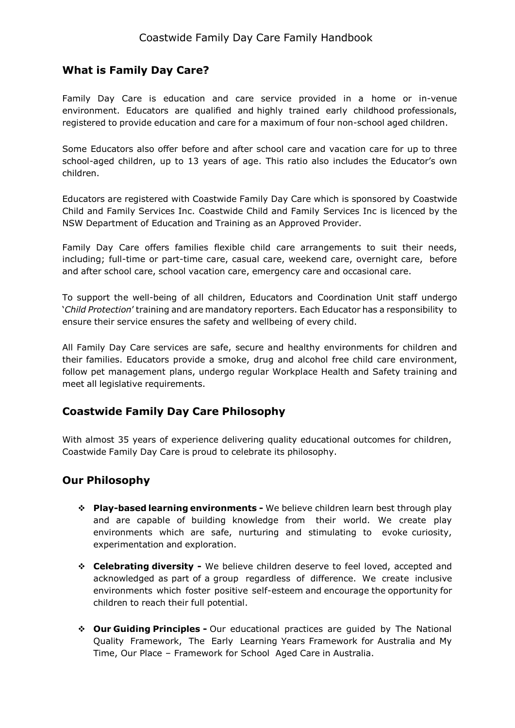#### **What is Family Day Care?**

Family Day Care is education and care service provided in a home or in-venue environment. Educators are qualified and highly trained early childhood professionals, registered to provide education and care for a maximum of four non-school aged children.

Some Educators also offer before and after school care and vacation care for up to three school-aged children, up to 13 years of age. This ratio also includes the Educator's own children.

Educators are registered with Coastwide Family Day Care which is sponsored by Coastwide Child and Family Services Inc. Coastwide Child and Family Services Inc is licenced by the NSW Department of Education and Training as an Approved Provider.

Family Day Care offers families flexible child care arrangements to suit their needs, including; full-time or part-time care, casual care, weekend care, overnight care, before and after school care, school vacation care, emergency care and occasional care.

To support the well-being of all children, Educators and Coordination Unit staff undergo '*Child Protection*' training and are mandatory reporters. Each Educator has a responsibility to ensure their service ensures the safety and wellbeing of every child.

All Family Day Care services are safe, secure and healthy environments for children and their families. Educators provide a smoke, drug and alcohol free child care environment, follow pet management plans, undergo regular Workplace Health and Safety training and meet all legislative requirements.

#### **Coastwide Family Day Care Philosophy**

With almost 35 years of experience delivering quality educational outcomes for children, Coastwide Family Day Care is proud to celebrate its philosophy.

#### **Our Philosophy**

- **Play-based learning environments -** We believe children learn best through play and are capable of building knowledge from their world. We create play environments which are safe, nurturing and stimulating to evoke curiosity, experimentation and exploration.
- **Celebrating diversity -** We believe children deserve to feel loved, accepted and acknowledged as part of a group regardless of difference. We create inclusive environments which foster positive self-esteem and encourage the opportunity for children to reach their full potential.
- **Our Guiding Principles -** Our educational practices are guided by The National Quality Framework, The Early Learning Years Framework for Australia and My Time, Our Place – Framework for School Aged Care in Australia.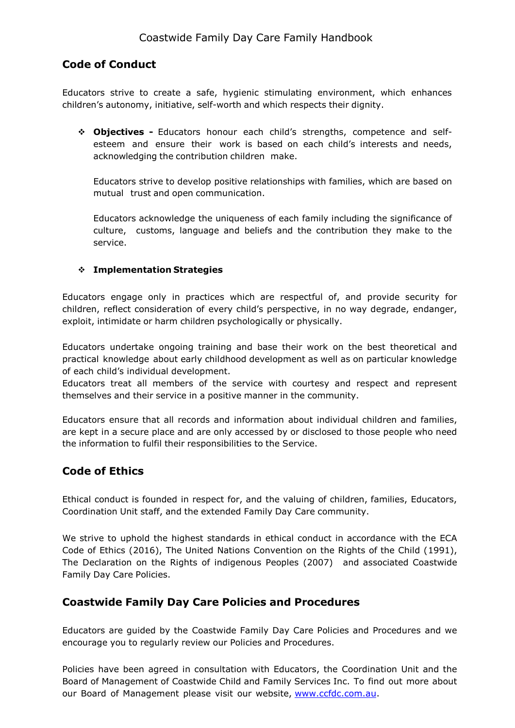#### **Code of Conduct**

Educators strive to create a safe, hygienic stimulating environment, which enhances children's autonomy, initiative, self-worth and which respects their dignity.

 **Objectives -** Educators honour each child's strengths, competence and selfesteem and ensure their work is based on each child's interests and needs, acknowledging the contribution children make.

Educators strive to develop positive relationships with families, which are based on mutual trust and open communication.

Educators acknowledge the uniqueness of each family including the significance of culture, customs, language and beliefs and the contribution they make to the service.

#### **Implementation Strategies**

Educators engage only in practices which are respectful of, and provide security for children, reflect consideration of every child's perspective, in no way degrade, endanger, exploit, intimidate or harm children psychologically or physically.

Educators undertake ongoing training and base their work on the best theoretical and practical knowledge about early childhood development as well as on particular knowledge of each child's individual development.

Educators treat all members of the service with courtesy and respect and represent themselves and their service in a positive manner in the community.

Educators ensure that all records and information about individual children and families, are kept in a secure place and are only accessed by or disclosed to those people who need the information to fulfil their responsibilities to the Service.

#### **Code of Ethics**

Ethical conduct is founded in respect for, and the valuing of children, families, Educators, Coordination Unit staff, and the extended Family Day Care community.

We strive to uphold the highest standards in ethical conduct in accordance with the ECA Code of Ethics (2016), The United Nations Convention on the Rights of the Child (1991), The Declaration on the Rights of indigenous Peoples (2007) and associated Coastwide Family Day Care Policies.

#### **Coastwide Family Day Care Policies and Procedures**

Educators are guided by the Coastwide Family Day Care Policies and Procedures and we encourage you to regularly review our Policies and Procedures.

Policies have been agreed in consultation with Educators, the Coordination Unit and the Board of Management of Coastwide Child and Family Services Inc. To find out more about our Board of Management please visit our website, [www.ccfdc.com.au.](http://www.ccfdc.com.au/)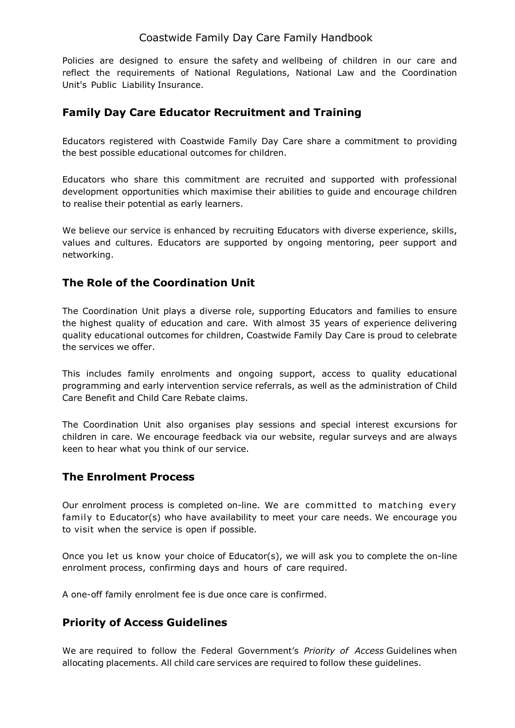Policies are designed to ensure the safety and wellbeing of children in our care and reflect the requirements of National Regulations, National Law and the Coordination Unit's Public Liability Insurance.

#### **Family Day Care Educator Recruitment and Training**

Educators registered with Coastwide Family Day Care share a commitment to providing the best possible educational outcomes for children.

Educators who share this commitment are recruited and supported with professional development opportunities which maximise their abilities to guide and encourage children to realise their potential as early learners.

We believe our service is enhanced by recruiting Educators with diverse experience, skills, values and cultures. Educators are supported by ongoing mentoring, peer support and networking.

#### **The Role of the Coordination Unit**

The Coordination Unit plays a diverse role, supporting Educators and families to ensure the highest quality of education and care. With almost 35 years of experience delivering quality educational outcomes for children, Coastwide Family Day Care is proud to celebrate the services we offer.

This includes family enrolments and ongoing support, access to quality educational programming and early intervention service referrals, as well as the administration of Child Care Benefit and Child Care Rebate claims.

The Coordination Unit also organises play sessions and special interest excursions for children in care. We encourage feedback via our website, regular surveys and are always keen to hear what you think of our service.

#### **The Enrolment Process**

Our enrolment process is completed on-line. We are committed to matching every family to Educator(s) who have availability to meet your care needs. We encourage you to visit when the service is open if possible.

Once you let us know your choice of Educator(s), we will ask you to complete the on-line enrolment process, confirming days and hours of care required.

A one-off family enrolment fee is due once care is confirmed.

#### **Priority of Access Guidelines**

We are required to follow the Federal Government's *Priority of Access* Guidelines when allocating placements. All child care services are required to follow these guidelines.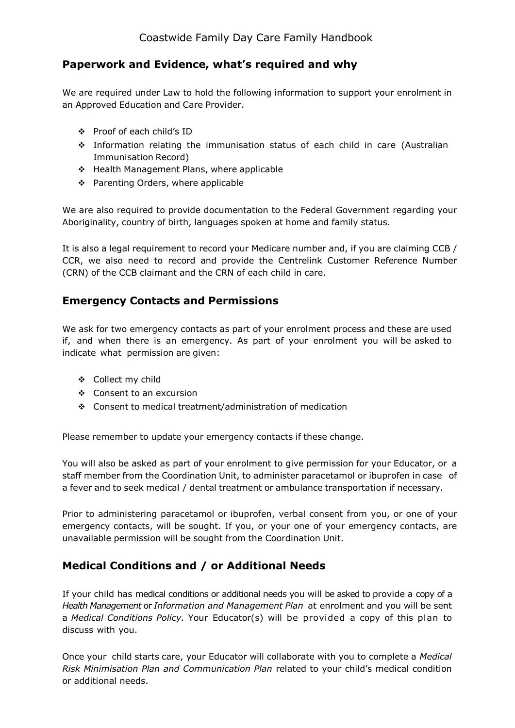#### **Paperwork and Evidence, what's required and why**

We are required under Law to hold the following information to support your enrolment in an Approved Education and Care Provider.

- Proof of each child's ID
- Information relating the immunisation status of each child in care (Australian Immunisation Record)
- ❖ Health Management Plans, where applicable
- ❖ Parenting Orders, where applicable

We are also required to provide documentation to the Federal Government regarding your Aboriginality, country of birth, languages spoken at home and family status.

It is also a legal requirement to record your Medicare number and, if you are claiming CCB / CCR, we also need to record and provide the Centrelink Customer Reference Number (CRN) of the CCB claimant and the CRN of each child in care.

#### **Emergency Contacts and Permissions**

We ask for two emergency contacts as part of your enrolment process and these are used if, and when there is an emergency. As part of your enrolment you will be asked to indicate what permission are given:

- Collect my child
- Consent to an excursion
- Consent to medical treatment/administration of medication

Please remember to update your emergency contacts if these change.

You will also be asked as part of your enrolment to give permission for your Educator, or a staff member from the Coordination Unit, to administer paracetamol or ibuprofen in case of a fever and to seek medical / dental treatment or ambulance transportation if necessary.

Prior to administering paracetamol or ibuprofen, verbal consent from you, or one of your emergency contacts, will be sought. If you, or your one of your emergency contacts, are unavailable permission will be sought from the Coordination Unit.

#### **Medical Conditions and / or Additional Needs**

If your child has medical conditions or additional needs you will be asked to provide a copy of a *Health Management* or *Information and Management Plan* at enrolment and you will be sent a *Medical Conditions Policy.* Your Educator(s) will be provided a copy of this plan to discuss with you.

Once your child starts care, your Educator will collaborate with you to complete a *Medical Risk Minimisation Plan and Communication Plan* related to your child's medical condition or additional needs.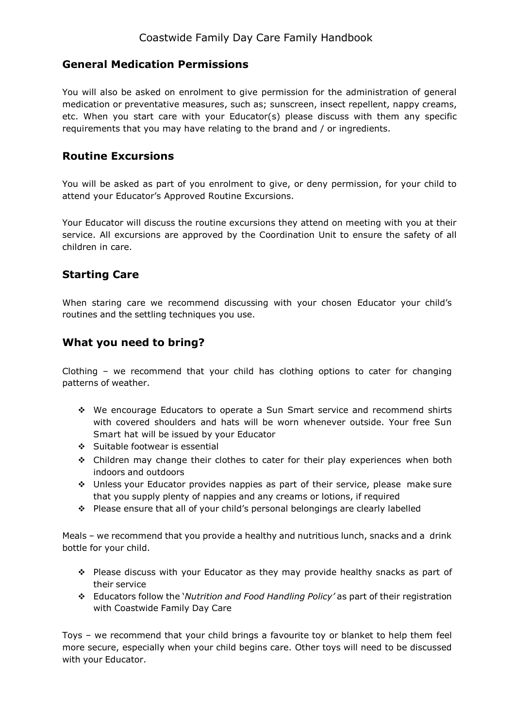#### **General Medication Permissions**

You will also be asked on enrolment to give permission for the administration of general medication or preventative measures, such as; sunscreen, insect repellent, nappy creams, etc. When you start care with your Educator(s) please discuss with them any specific requirements that you may have relating to the brand and / or ingredients.

#### **Routine Excursions**

You will be asked as part of you enrolment to give, or deny permission, for your child to attend your Educator's Approved Routine Excursions.

Your Educator will discuss the routine excursions they attend on meeting with you at their service. All excursions are approved by the Coordination Unit to ensure the safety of all children in care.

#### **Starting Care**

When staring care we recommend discussing with your chosen Educator your child's routines and the settling techniques you use.

#### **What you need to bring?**

Clothing – we recommend that your child has clothing options to cater for changing patterns of weather.

- We encourage Educators to operate a Sun Smart service and recommend shirts with covered shoulders and hats will be worn whenever outside. Your free Sun Smart hat will be issued by your Educator
- ❖ Suitable footwear is essential
- Children may change their clothes to cater for their play experiences when both indoors and outdoors
- Unless your Educator provides nappies as part of their service, please make sure that you supply plenty of nappies and any creams or lotions, if required
- Please ensure that all of your child's personal belongings are clearly labelled

Meals – we recommend that you provide a healthy and nutritious lunch, snacks and a drink bottle for your child.

- Please discuss with your Educator as they may provide healthy snacks as part of their service
- Educators follow the '*Nutrition and Food Handling Policy'* as part of their registration with Coastwide Family Day Care

Toys – we recommend that your child brings a favourite toy or blanket to help them feel more secure, especially when your child begins care. Other toys will need to be discussed with your Educator.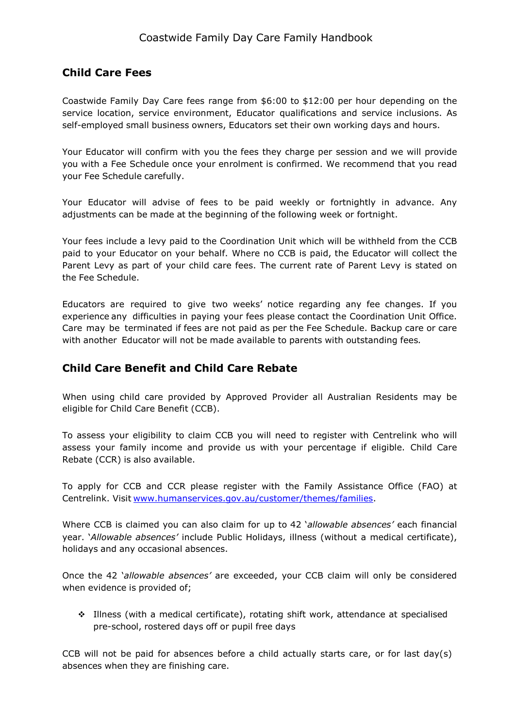#### **Child Care Fees**

Coastwide Family Day Care fees range from \$6:00 to \$12:00 per hour depending on the service location, service environment, Educator qualifications and service inclusions. As self-employed small business owners, Educators set their own working days and hours.

Your Educator will confirm with you the fees they charge per session and we will provide you with a Fee Schedule once your enrolment is confirmed. We recommend that you read your Fee Schedule carefully.

Your Educator will advise of fees to be paid weekly or fortnightly in advance. Any adjustments can be made at the beginning of the following week or fortnight.

Your fees include a levy paid to the Coordination Unit which will be withheld from the CCB paid to your Educator on your behalf. Where no CCB is paid, the Educator will collect the Parent Levy as part of your child care fees. The current rate of Parent Levy is stated on the Fee Schedule.

Educators are required to give two weeks' notice regarding any fee changes. If you experience any difficulties in paying your fees please contact the Coordination Unit Office. Care may be terminated if fees are not paid as per the Fee Schedule. Backup care or care with another Educator will not be made available to parents with outstanding fees*.*

#### **Child Care Benefit and Child Care Rebate**

When using child care provided by Approved Provider all Australian Residents may be eligible for Child Care Benefit (CCB).

To assess your eligibility to claim CCB you will need to register with Centrelink who will assess your family income and provide us with your percentage if eligible. Child Care Rebate (CCR) is also available.

To apply for CCB and CCR please register with the Family Assistance Office (FAO) at Centrelink. Visit [www.humanservices.gov.au/customer/themes/families.](http://www.humanservices.gov.au/customer/themes/families)

Where CCB is claimed you can also claim for up to 42 '*allowable absences'* each financial year. '*Allowable absences'* include Public Holidays, illness (without a medical certificate), holidays and any occasional absences.

Once the 42 '*allowable absences'* are exceeded, your CCB claim will only be considered when evidence is provided of;

 Illness (with a medical certificate), rotating shift work, attendance at specialised pre-school, rostered days off or pupil free days

CCB will not be paid for absences before a child actually starts care, or for last day(s) absences when they are finishing care.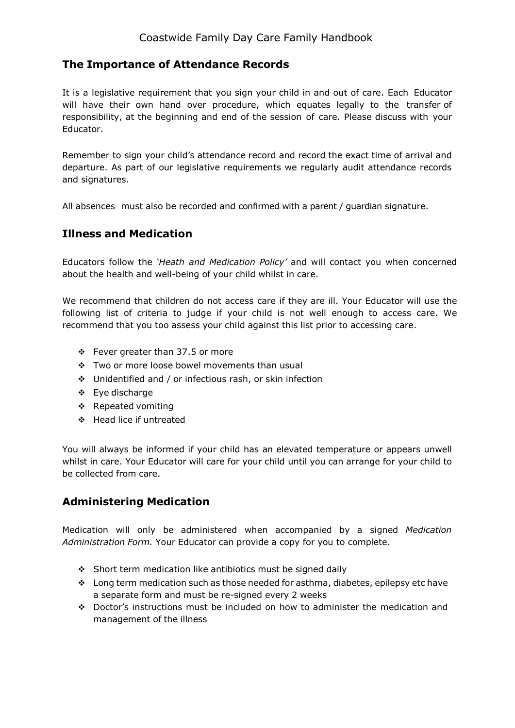#### **The Importance of Attendance Records**

It is a legislative requirement that you sign your child in and out of care. Each Educator will have their own hand over procedure, which equates legally to the transfer of responsibility, at the beginning and end of the session of care. Please discuss with your Educator.

Remember to sign your child's attendance record and record the exact time of arrival and departure. As part of our legislative requirements we regularly audit attendance records and signatures.

All absences must also be recorded and confirmed with a parent / guardian signature.

#### **Illness and Medication**

Educators follow the *'Heath and Medication Policy'* and will contact you when concerned about the health and well-being of your child whilst in care.

We recommend that children do not access care if they are ill. Your Educator will use the following list of criteria to judge if your child is not well enough to access care. We recommend that you too assess your child against this list prior to accessing care.

- $\div$  Fever greater than 37.5 or more
- \* Two or more loose bowel movements than usual
- Unidentified and / or infectious rash, or skin infection
- Eye discharge
- ❖ Repeated vomiting
- Head lice if untreated

You will always be informed if your child has an elevated temperature or appears unwell whilst in care. Your Educator will care for your child until you can arrange for your child to be collected from care.

#### **Administering Medication**

Medication will only be administered when accompanied by a signed *Medication Administration Form.* Your Educator can provide a copy for you to complete.

- ❖ Short term medication like antibiotics must be signed daily
- Long term medication such as those needed for asthma, diabetes, epilepsy etc have a separate form and must be re-signed every 2 weeks
- Doctor's instructions must be included on how to administer the medication and management of the illness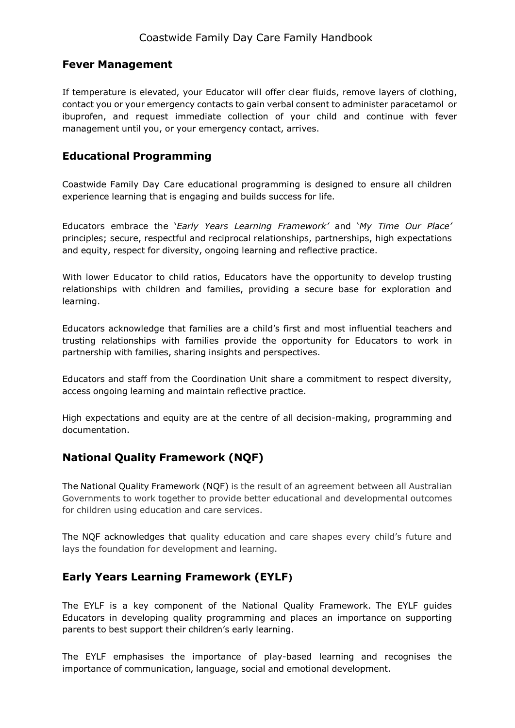#### **Fever Management**

If temperature is elevated, your Educator will offer clear fluids, remove layers of clothing, contact you or your emergency contacts to gain verbal consent to administer paracetamol or ibuprofen, and request immediate collection of your child and continue with fever management until you, or your emergency contact, arrives.

#### **Educational Programming**

Coastwide Family Day Care educational programming is designed to ensure all children experience learning that is engaging and builds success for life.

Educators embrace the '*Early Years Learning Framework'* and '*My Time Our Place'* principles; secure, respectful and reciprocal relationships, partnerships, high expectations and equity, respect for diversity, ongoing learning and reflective practice.

With lower Educator to child ratios, Educators have the opportunity to develop trusting relationships with children and families, providing a secure base for exploration and learning.

Educators acknowledge that families are a child's first and most influential teachers and trusting relationships with families provide the opportunity for Educators to work in partnership with families, sharing insights and perspectives.

Educators and staff from the Coordination Unit share a commitment to respect diversity, access ongoing learning and maintain reflective practice.

High expectations and equity are at the centre of all decision-making, programming and documentation.

#### **National Quality Framework (NQF)**

The National Quality Framework (NQF) is the result of an agreement between all Australian Governments to work together to provide better educational and developmental outcomes for children using education and care services.

The NQF acknowledges that quality education and care shapes every child's future and lays the foundation for development and learning.

#### **Early Years Learning Framework (EYLF)**

The EYLF is a key component of the National Quality Framework. The EYLF guides Educators in developing quality programming and places an importance on supporting parents to best support their children's early learning.

The EYLF emphasises the importance of play-based learning and recognises the importance of communication, language, social and emotional development.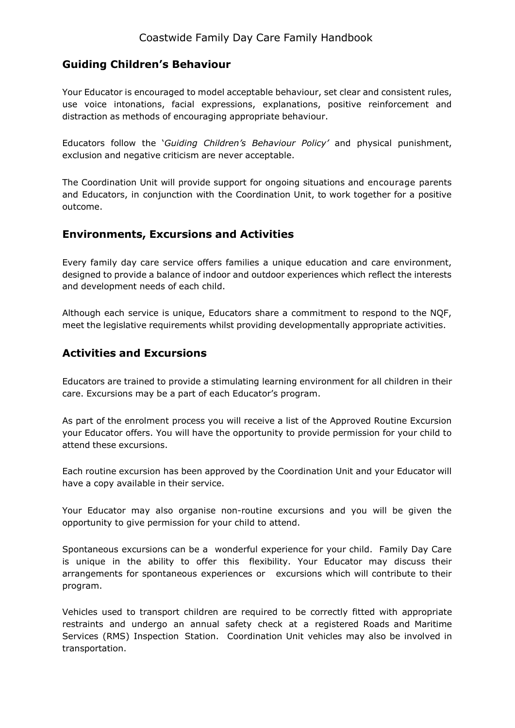#### **Guiding Children's Behaviour**

Your Educator is encouraged to model acceptable behaviour, set clear and consistent rules, use voice intonations, facial expressions, explanations, positive reinforcement and distraction as methods of encouraging appropriate behaviour.

Educators follow the '*Guiding Children's Behaviour Policy'* and physical punishment, exclusion and negative criticism are never acceptable.

The Coordination Unit will provide support for ongoing situations and encourage parents and Educators, in conjunction with the Coordination Unit, to work together for a positive outcome.

#### **Environments, Excursions and Activities**

Every family day care service offers families a unique education and care environment, designed to provide a balance of indoor and outdoor experiences which reflect the interests and development needs of each child.

Although each service is unique, Educators share a commitment to respond to the NQF, meet the legislative requirements whilst providing developmentally appropriate activities.

#### **Activities and Excursions**

Educators are trained to provide a stimulating learning environment for all children in their care. Excursions may be a part of each Educator's program.

As part of the enrolment process you will receive a list of the Approved Routine Excursion your Educator offers. You will have the opportunity to provide permission for your child to attend these excursions.

Each routine excursion has been approved by the Coordination Unit and your Educator will have a copy available in their service.

Your Educator may also organise non-routine excursions and you will be given the opportunity to give permission for your child to attend.

Spontaneous excursions can be a wonderful experience for your child. Family Day Care is unique in the ability to offer this flexibility. Your Educator may discuss their arrangements for spontaneous experiences or excursions which will contribute to their program.

Vehicles used to transport children are required to be correctly fitted with appropriate restraints and undergo an annual safety check at a registered Roads and Maritime Services (RMS) Inspection Station. Coordination Unit vehicles may also be involved in transportation.